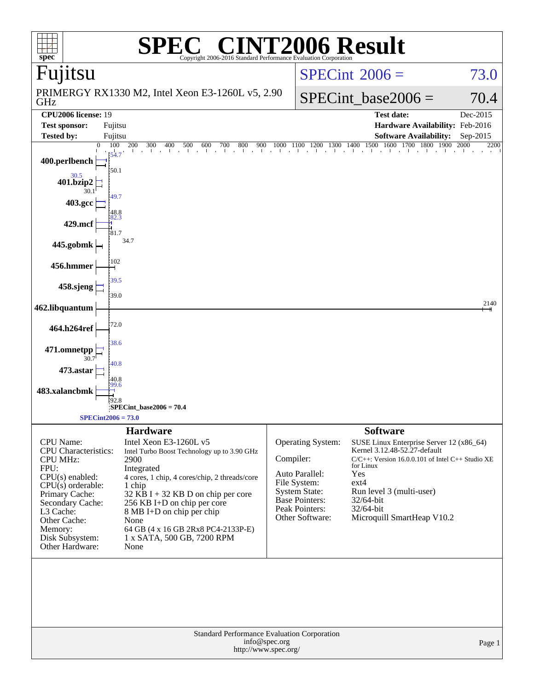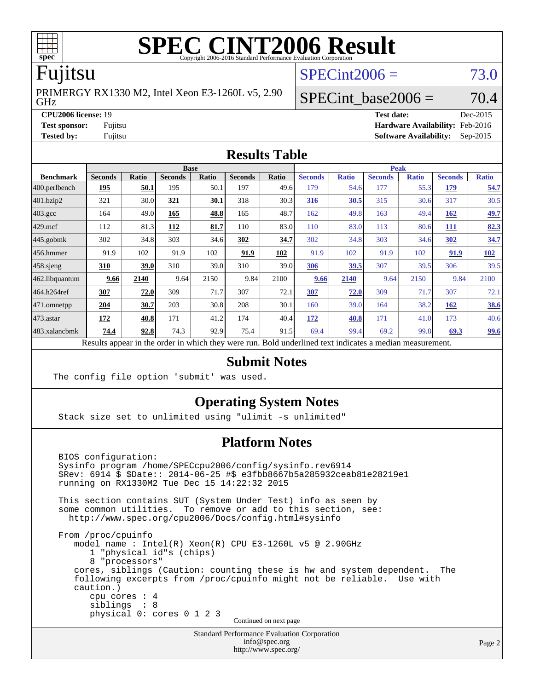

# **[SPEC CINT2006 Result](http://www.spec.org/auto/cpu2006/Docs/result-fields.html#SPECCINT2006Result)**

# Fujitsu

GHz PRIMERGY RX1330 M2, Intel Xeon E3-1260L v5, 2.90  $SPECint2006 = 73.0$  $SPECint2006 = 73.0$ 

SPECint base2006 =  $70.4$ 

**[CPU2006 license:](http://www.spec.org/auto/cpu2006/Docs/result-fields.html#CPU2006license)** 19 **[Test date:](http://www.spec.org/auto/cpu2006/Docs/result-fields.html#Testdate)** Dec-2015 **[Test sponsor:](http://www.spec.org/auto/cpu2006/Docs/result-fields.html#Testsponsor)** Fujitsu **[Hardware Availability:](http://www.spec.org/auto/cpu2006/Docs/result-fields.html#HardwareAvailability)** Feb-2016 **[Tested by:](http://www.spec.org/auto/cpu2006/Docs/result-fields.html#Testedby)** Fujitsu **[Software Availability:](http://www.spec.org/auto/cpu2006/Docs/result-fields.html#SoftwareAvailability)** Sep-2015

### **[Results Table](http://www.spec.org/auto/cpu2006/Docs/result-fields.html#ResultsTable)**

|                                                                                                          | <b>Base</b>    |              |                |              |                |       |                | <b>Peak</b>  |                |              |                |              |  |
|----------------------------------------------------------------------------------------------------------|----------------|--------------|----------------|--------------|----------------|-------|----------------|--------------|----------------|--------------|----------------|--------------|--|
| <b>Benchmark</b>                                                                                         | <b>Seconds</b> | <b>Ratio</b> | <b>Seconds</b> | <b>Ratio</b> | <b>Seconds</b> | Ratio | <b>Seconds</b> | <b>Ratio</b> | <b>Seconds</b> | <b>Ratio</b> | <b>Seconds</b> | <b>Ratio</b> |  |
| $ 400$ .perlbench                                                                                        | 195            | 50.1         | 195            | 50.1         | 197            | 49.6  | 179            | 54.6         | 177            | 55.3         | 179            | 54.7         |  |
| 401.bzip2                                                                                                | 321            | 30.0         | 321            | 30.1         | 318            | 30.3  | 316            | 30.5         | 315            | 30.6         | 317            | 30.5         |  |
| $403.\text{gcc}$                                                                                         | 164            | 49.0         | 165            | 48.8         | 165            | 48.7  | 162            | 49.8         | 163            | 49.4         | 162            | <u>49.7</u>  |  |
| $429$ mcf                                                                                                | 112            | 81.3         | 112            | 81.7         | 110            | 83.0  | 110            | 83.0         | 113            | 80.6         | <b>111</b>     | 82.3         |  |
| $445$ .gobmk                                                                                             | 302            | 34.8         | 303            | 34.6         | 302            | 34.7  | 302            | 34.8         | 303            | 34.6         | 302            | 34.7         |  |
| $456.$ hmmer                                                                                             | 91.9           | 102          | 91.9           | 102          | 91.9           | 102   | 91.9           | 102          | 91.9           | 102          | 91.9           | 102          |  |
| $458$ .sjeng                                                                                             | 310            | 39.0         | 310            | 39.0         | 310            | 39.0  | 306            | 39.5         | 307            | 39.5         | 306            | 39.5         |  |
| 462.libquantum                                                                                           | 9.66           | 2140         | 9.64           | 2150         | 9.84           | 2100  | 9.66           | 2140         | 9.64           | 2150         | 9.84           | 2100         |  |
| 464.h264ref                                                                                              | 307            | 72.0         | 309            | 71.7         | 307            | 72.1  | 307            | 72.0         | 309            | 71.7         | 307            | 72.1         |  |
| 471.omnetpp                                                                                              | 204            | 30.7         | 203            | 30.8         | 208            | 30.1  | 160            | 39.0         | 164            | 38.2         | 162            | <b>38.6</b>  |  |
| $473$ . astar                                                                                            | 172            | 40.8         | 171            | 41.2         | 174            | 40.4  | 172            | 40.8         | 171            | 41.0         | 173            | 40.6         |  |
| 483.xalancbmk                                                                                            | 74.4           | 92.8         | 74.3           | 92.9         | 75.4           | 91.5  | 69.4           | 99.4         | 69.2           | 99.8         | 69.3           | <u>99.6</u>  |  |
| Results appear in the order in which they were run. Bold underlined text indicates a median measurement. |                |              |                |              |                |       |                |              |                |              |                |              |  |

### **[Submit Notes](http://www.spec.org/auto/cpu2006/Docs/result-fields.html#SubmitNotes)**

The config file option 'submit' was used.

### **[Operating System Notes](http://www.spec.org/auto/cpu2006/Docs/result-fields.html#OperatingSystemNotes)**

Stack size set to unlimited using "ulimit -s unlimited"

### **[Platform Notes](http://www.spec.org/auto/cpu2006/Docs/result-fields.html#PlatformNotes)**

 BIOS configuration: Sysinfo program /home/SPECcpu2006/config/sysinfo.rev6914 \$Rev: 6914 \$ \$Date:: 2014-06-25 #\$ e3fbb8667b5a285932ceab81e28219e1 running on RX1330M2 Tue Dec 15 14:22:32 2015 This section contains SUT (System Under Test) info as seen by some common utilities. To remove or add to this section, see: <http://www.spec.org/cpu2006/Docs/config.html#sysinfo> From /proc/cpuinfo model name : Intel(R) Xeon(R) CPU E3-1260L v5 @ 2.90GHz 1 "physical id"s (chips) 8 "processors" cores, siblings (Caution: counting these is hw and system dependent. The following excerpts from /proc/cpuinfo might not be reliable. Use with caution.) cpu cores : 4 siblings : 8 physical 0: cores 0 1 2 3 Continued on next page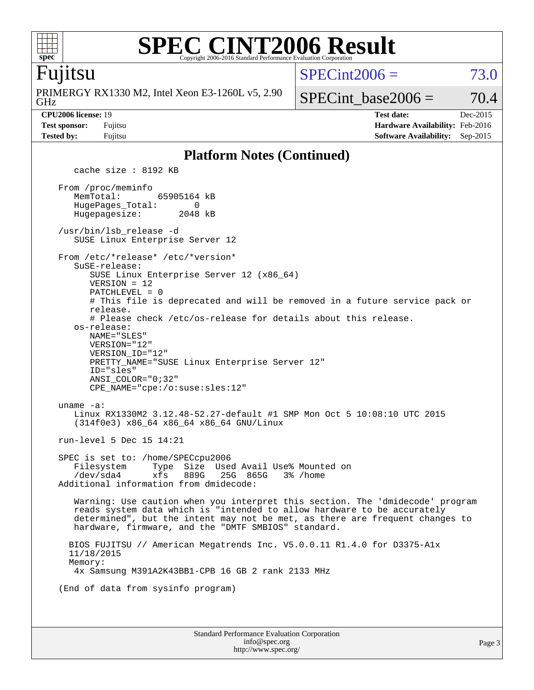

### **[SPEC CINT2006 Result](http://www.spec.org/auto/cpu2006/Docs/result-fields.html#SPECCINT2006Result)** Copyright 2006-2016 Standard Performance Evaluation Corporation

### Fujitsu

GHz PRIMERGY RX1330 M2, Intel Xeon E3-1260L v5, 2.90  $SPECint2006 = 73.0$  $SPECint2006 = 73.0$ 

SPECint base2006 =  $70.4$ 

**[CPU2006 license:](http://www.spec.org/auto/cpu2006/Docs/result-fields.html#CPU2006license)** 19 **[Test date:](http://www.spec.org/auto/cpu2006/Docs/result-fields.html#Testdate)** Dec-2015 **[Test sponsor:](http://www.spec.org/auto/cpu2006/Docs/result-fields.html#Testsponsor)** Fujitsu **[Hardware Availability:](http://www.spec.org/auto/cpu2006/Docs/result-fields.html#HardwareAvailability)** Feb-2016 **[Tested by:](http://www.spec.org/auto/cpu2006/Docs/result-fields.html#Testedby)** Fujitsu **[Software Availability:](http://www.spec.org/auto/cpu2006/Docs/result-fields.html#SoftwareAvailability)** Sep-2015

### **[Platform Notes \(Continued\)](http://www.spec.org/auto/cpu2006/Docs/result-fields.html#PlatformNotes)**

Standard Performance Evaluation Corporation [info@spec.org](mailto:info@spec.org) cache size : 8192 KB From /proc/meminfo MemTotal: 65905164 kB HugePages\_Total: 0<br>Hugepagesize: 2048 kB Hugepagesize: /usr/bin/lsb\_release -d SUSE Linux Enterprise Server 12 From /etc/\*release\* /etc/\*version\* SuSE-release: SUSE Linux Enterprise Server 12 (x86\_64) VERSION = 12 PATCHLEVEL = 0 # This file is deprecated and will be removed in a future service pack or release. # Please check /etc/os-release for details about this release. os-release: NAME="SLES" VERSION="12" VERSION\_ID="12" PRETTY\_NAME="SUSE Linux Enterprise Server 12" ID="sles" ANSI\_COLOR="0;32" CPE\_NAME="cpe:/o:suse:sles:12" uname -a: Linux RX1330M2 3.12.48-52.27-default #1 SMP Mon Oct 5 10:08:10 UTC 2015 (314f0e3) x86\_64 x86\_64 x86\_64 GNU/Linux run-level 5 Dec 15 14:21 SPEC is set to: /home/SPECcpu2006 Filesystem Type Size Used Avail Use% Mounted on /dev/sda4 xfs 889G 25G 865G 3% /home Additional information from dmidecode: Warning: Use caution when you interpret this section. The 'dmidecode' program reads system data which is "intended to allow hardware to be accurately determined", but the intent may not be met, as there are frequent changes to hardware, firmware, and the "DMTF SMBIOS" standard. BIOS FUJITSU // American Megatrends Inc. V5.0.0.11 R1.4.0 for D3375-A1x 11/18/2015 Memory: 4x Samsung M391A2K43BB1-CPB 16 GB 2 rank 2133 MHz (End of data from sysinfo program)

<http://www.spec.org/>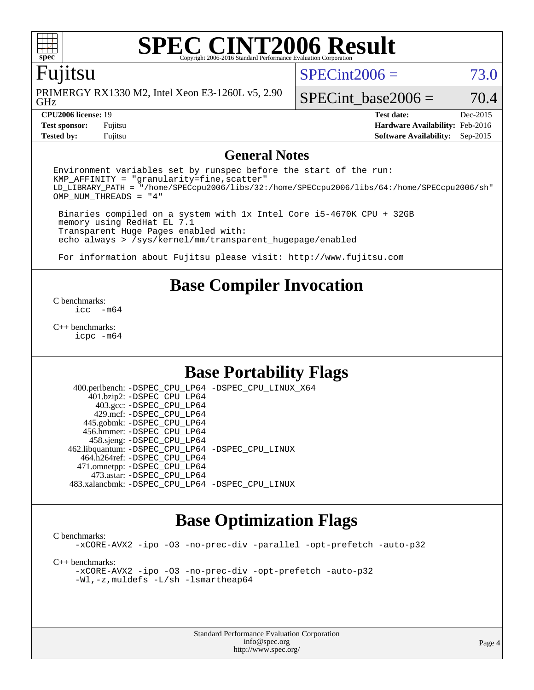# **[SPEC CINT2006 Result](http://www.spec.org/auto/cpu2006/Docs/result-fields.html#SPECCINT2006Result)**

## Fujitsu

GHz PRIMERGY RX1330 M2, Intel Xeon E3-1260L v5, 2.90  $SPECint2006 = 73.0$  $SPECint2006 = 73.0$ 

SPECint base2006 =  $70.4$ 

**[CPU2006 license:](http://www.spec.org/auto/cpu2006/Docs/result-fields.html#CPU2006license)** 19 **[Test date:](http://www.spec.org/auto/cpu2006/Docs/result-fields.html#Testdate)** Dec-2015 **[Test sponsor:](http://www.spec.org/auto/cpu2006/Docs/result-fields.html#Testsponsor)** Fujitsu **[Hardware Availability:](http://www.spec.org/auto/cpu2006/Docs/result-fields.html#HardwareAvailability)** Feb-2016 **[Tested by:](http://www.spec.org/auto/cpu2006/Docs/result-fields.html#Testedby)** Fujitsu **[Software Availability:](http://www.spec.org/auto/cpu2006/Docs/result-fields.html#SoftwareAvailability)** Sep-2015

### **[General Notes](http://www.spec.org/auto/cpu2006/Docs/result-fields.html#GeneralNotes)**

Environment variables set by runspec before the start of the run:  $KMP$  AFFINITY = "granularity=fine, scatter" LD\_LIBRARY\_PATH = "/home/SPECcpu2006/libs/32:/home/SPECcpu2006/libs/64:/home/SPECcpu2006/sh" OMP\_NUM\_THREADS = "4"

 Binaries compiled on a system with 1x Intel Core i5-4670K CPU + 32GB memory using RedHat EL 7.1 Transparent Huge Pages enabled with: echo always > /sys/kernel/mm/transparent\_hugepage/enabled

For information about Fujitsu please visit: <http://www.fujitsu.com>

# **[Base Compiler Invocation](http://www.spec.org/auto/cpu2006/Docs/result-fields.html#BaseCompilerInvocation)**

[C benchmarks](http://www.spec.org/auto/cpu2006/Docs/result-fields.html#Cbenchmarks):  $inc - m64$ 

[C++ benchmarks:](http://www.spec.org/auto/cpu2006/Docs/result-fields.html#CXXbenchmarks) [icpc -m64](http://www.spec.org/cpu2006/results/res2016q1/cpu2006-20160111-38679.flags.html#user_CXXbase_intel_icpc_64bit_fc66a5337ce925472a5c54ad6a0de310)

# **[Base Portability Flags](http://www.spec.org/auto/cpu2006/Docs/result-fields.html#BasePortabilityFlags)**

 400.perlbench: [-DSPEC\\_CPU\\_LP64](http://www.spec.org/cpu2006/results/res2016q1/cpu2006-20160111-38679.flags.html#b400.perlbench_basePORTABILITY_DSPEC_CPU_LP64) [-DSPEC\\_CPU\\_LINUX\\_X64](http://www.spec.org/cpu2006/results/res2016q1/cpu2006-20160111-38679.flags.html#b400.perlbench_baseCPORTABILITY_DSPEC_CPU_LINUX_X64) 401.bzip2: [-DSPEC\\_CPU\\_LP64](http://www.spec.org/cpu2006/results/res2016q1/cpu2006-20160111-38679.flags.html#suite_basePORTABILITY401_bzip2_DSPEC_CPU_LP64) 403.gcc: [-DSPEC\\_CPU\\_LP64](http://www.spec.org/cpu2006/results/res2016q1/cpu2006-20160111-38679.flags.html#suite_basePORTABILITY403_gcc_DSPEC_CPU_LP64) 429.mcf: [-DSPEC\\_CPU\\_LP64](http://www.spec.org/cpu2006/results/res2016q1/cpu2006-20160111-38679.flags.html#suite_basePORTABILITY429_mcf_DSPEC_CPU_LP64) 445.gobmk: [-DSPEC\\_CPU\\_LP64](http://www.spec.org/cpu2006/results/res2016q1/cpu2006-20160111-38679.flags.html#suite_basePORTABILITY445_gobmk_DSPEC_CPU_LP64) 456.hmmer: [-DSPEC\\_CPU\\_LP64](http://www.spec.org/cpu2006/results/res2016q1/cpu2006-20160111-38679.flags.html#suite_basePORTABILITY456_hmmer_DSPEC_CPU_LP64) 458.sjeng: [-DSPEC\\_CPU\\_LP64](http://www.spec.org/cpu2006/results/res2016q1/cpu2006-20160111-38679.flags.html#suite_basePORTABILITY458_sjeng_DSPEC_CPU_LP64) 462.libquantum: [-DSPEC\\_CPU\\_LP64](http://www.spec.org/cpu2006/results/res2016q1/cpu2006-20160111-38679.flags.html#suite_basePORTABILITY462_libquantum_DSPEC_CPU_LP64) [-DSPEC\\_CPU\\_LINUX](http://www.spec.org/cpu2006/results/res2016q1/cpu2006-20160111-38679.flags.html#b462.libquantum_baseCPORTABILITY_DSPEC_CPU_LINUX) 464.h264ref: [-DSPEC\\_CPU\\_LP64](http://www.spec.org/cpu2006/results/res2016q1/cpu2006-20160111-38679.flags.html#suite_basePORTABILITY464_h264ref_DSPEC_CPU_LP64) 471.omnetpp: [-DSPEC\\_CPU\\_LP64](http://www.spec.org/cpu2006/results/res2016q1/cpu2006-20160111-38679.flags.html#suite_basePORTABILITY471_omnetpp_DSPEC_CPU_LP64) 473.astar: [-DSPEC\\_CPU\\_LP64](http://www.spec.org/cpu2006/results/res2016q1/cpu2006-20160111-38679.flags.html#suite_basePORTABILITY473_astar_DSPEC_CPU_LP64) 483.xalancbmk: [-DSPEC\\_CPU\\_LP64](http://www.spec.org/cpu2006/results/res2016q1/cpu2006-20160111-38679.flags.html#suite_basePORTABILITY483_xalancbmk_DSPEC_CPU_LP64) [-DSPEC\\_CPU\\_LINUX](http://www.spec.org/cpu2006/results/res2016q1/cpu2006-20160111-38679.flags.html#b483.xalancbmk_baseCXXPORTABILITY_DSPEC_CPU_LINUX)

## **[Base Optimization Flags](http://www.spec.org/auto/cpu2006/Docs/result-fields.html#BaseOptimizationFlags)**

[C benchmarks](http://www.spec.org/auto/cpu2006/Docs/result-fields.html#Cbenchmarks): [-xCORE-AVX2](http://www.spec.org/cpu2006/results/res2016q1/cpu2006-20160111-38679.flags.html#user_CCbase_f-xAVX2_5f5fc0cbe2c9f62c816d3e45806c70d7) [-ipo](http://www.spec.org/cpu2006/results/res2016q1/cpu2006-20160111-38679.flags.html#user_CCbase_f-ipo) [-O3](http://www.spec.org/cpu2006/results/res2016q1/cpu2006-20160111-38679.flags.html#user_CCbase_f-O3) [-no-prec-div](http://www.spec.org/cpu2006/results/res2016q1/cpu2006-20160111-38679.flags.html#user_CCbase_f-no-prec-div) [-parallel](http://www.spec.org/cpu2006/results/res2016q1/cpu2006-20160111-38679.flags.html#user_CCbase_f-parallel) [-opt-prefetch](http://www.spec.org/cpu2006/results/res2016q1/cpu2006-20160111-38679.flags.html#user_CCbase_f-opt-prefetch) [-auto-p32](http://www.spec.org/cpu2006/results/res2016q1/cpu2006-20160111-38679.flags.html#user_CCbase_f-auto-p32) [C++ benchmarks:](http://www.spec.org/auto/cpu2006/Docs/result-fields.html#CXXbenchmarks) [-xCORE-AVX2](http://www.spec.org/cpu2006/results/res2016q1/cpu2006-20160111-38679.flags.html#user_CXXbase_f-xAVX2_5f5fc0cbe2c9f62c816d3e45806c70d7) [-ipo](http://www.spec.org/cpu2006/results/res2016q1/cpu2006-20160111-38679.flags.html#user_CXXbase_f-ipo) [-O3](http://www.spec.org/cpu2006/results/res2016q1/cpu2006-20160111-38679.flags.html#user_CXXbase_f-O3) [-no-prec-div](http://www.spec.org/cpu2006/results/res2016q1/cpu2006-20160111-38679.flags.html#user_CXXbase_f-no-prec-div) [-opt-prefetch](http://www.spec.org/cpu2006/results/res2016q1/cpu2006-20160111-38679.flags.html#user_CXXbase_f-opt-prefetch) [-auto-p32](http://www.spec.org/cpu2006/results/res2016q1/cpu2006-20160111-38679.flags.html#user_CXXbase_f-auto-p32) [-Wl,-z,muldefs](http://www.spec.org/cpu2006/results/res2016q1/cpu2006-20160111-38679.flags.html#user_CXXbase_link_force_multiple1_74079c344b956b9658436fd1b6dd3a8a) [-L/sh -lsmartheap64](http://www.spec.org/cpu2006/results/res2016q1/cpu2006-20160111-38679.flags.html#user_CXXbase_SmartHeap64_ed4ef857ce90951921efb0d91eb88472)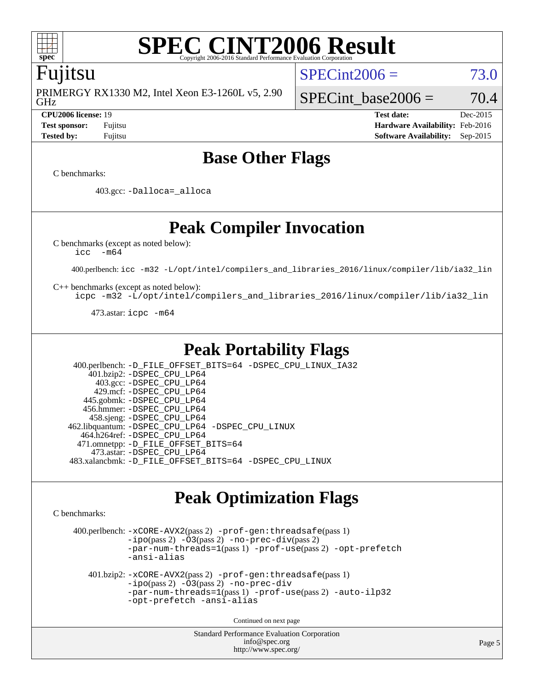

### **[SPEC CINT2006 Result](http://www.spec.org/auto/cpu2006/Docs/result-fields.html#SPECCINT2006Result)** Copyright 2006-2016 Standard Performance Evaluation C

### Fujitsu

GHz PRIMERGY RX1330 M2, Intel Xeon E3-1260L v5, 2.90  $SPECint2006 = 73.0$  $SPECint2006 = 73.0$ 

SPECint base2006 =  $70.4$ 

**[CPU2006 license:](http://www.spec.org/auto/cpu2006/Docs/result-fields.html#CPU2006license)** 19 **[Test date:](http://www.spec.org/auto/cpu2006/Docs/result-fields.html#Testdate)** Dec-2015 **[Test sponsor:](http://www.spec.org/auto/cpu2006/Docs/result-fields.html#Testsponsor)** Fujitsu **[Hardware Availability:](http://www.spec.org/auto/cpu2006/Docs/result-fields.html#HardwareAvailability)** Feb-2016 **[Tested by:](http://www.spec.org/auto/cpu2006/Docs/result-fields.html#Testedby)** Fujitsu **[Software Availability:](http://www.spec.org/auto/cpu2006/Docs/result-fields.html#SoftwareAvailability)** Sep-2015

# **[Base Other Flags](http://www.spec.org/auto/cpu2006/Docs/result-fields.html#BaseOtherFlags)**

[C benchmarks](http://www.spec.org/auto/cpu2006/Docs/result-fields.html#Cbenchmarks):

403.gcc: [-Dalloca=\\_alloca](http://www.spec.org/cpu2006/results/res2016q1/cpu2006-20160111-38679.flags.html#b403.gcc_baseEXTRA_CFLAGS_Dalloca_be3056838c12de2578596ca5467af7f3)

**[Peak Compiler Invocation](http://www.spec.org/auto/cpu2006/Docs/result-fields.html#PeakCompilerInvocation)**

[C benchmarks \(except as noted below\)](http://www.spec.org/auto/cpu2006/Docs/result-fields.html#Cbenchmarksexceptasnotedbelow):

[icc -m64](http://www.spec.org/cpu2006/results/res2016q1/cpu2006-20160111-38679.flags.html#user_CCpeak_intel_icc_64bit_f346026e86af2a669e726fe758c88044)

400.perlbench: [icc -m32 -L/opt/intel/compilers\\_and\\_libraries\\_2016/linux/compiler/lib/ia32\\_lin](http://www.spec.org/cpu2006/results/res2016q1/cpu2006-20160111-38679.flags.html#user_peakCCLD400_perlbench_intel_icc_e10256ba5924b668798078a321b0cb3f)

[C++ benchmarks \(except as noted below\):](http://www.spec.org/auto/cpu2006/Docs/result-fields.html#CXXbenchmarksexceptasnotedbelow)

[icpc -m32 -L/opt/intel/compilers\\_and\\_libraries\\_2016/linux/compiler/lib/ia32\\_lin](http://www.spec.org/cpu2006/results/res2016q1/cpu2006-20160111-38679.flags.html#user_CXXpeak_intel_icpc_b4f50a394bdb4597aa5879c16bc3f5c5)

473.astar: [icpc -m64](http://www.spec.org/cpu2006/results/res2016q1/cpu2006-20160111-38679.flags.html#user_peakCXXLD473_astar_intel_icpc_64bit_fc66a5337ce925472a5c54ad6a0de310)

## **[Peak Portability Flags](http://www.spec.org/auto/cpu2006/Docs/result-fields.html#PeakPortabilityFlags)**

 400.perlbench: [-D\\_FILE\\_OFFSET\\_BITS=64](http://www.spec.org/cpu2006/results/res2016q1/cpu2006-20160111-38679.flags.html#user_peakPORTABILITY400_perlbench_file_offset_bits_64_438cf9856305ebd76870a2c6dc2689ab) [-DSPEC\\_CPU\\_LINUX\\_IA32](http://www.spec.org/cpu2006/results/res2016q1/cpu2006-20160111-38679.flags.html#b400.perlbench_peakCPORTABILITY_DSPEC_CPU_LINUX_IA32) 401.bzip2: [-DSPEC\\_CPU\\_LP64](http://www.spec.org/cpu2006/results/res2016q1/cpu2006-20160111-38679.flags.html#suite_peakPORTABILITY401_bzip2_DSPEC_CPU_LP64) 403.gcc: [-DSPEC\\_CPU\\_LP64](http://www.spec.org/cpu2006/results/res2016q1/cpu2006-20160111-38679.flags.html#suite_peakPORTABILITY403_gcc_DSPEC_CPU_LP64) 429.mcf: [-DSPEC\\_CPU\\_LP64](http://www.spec.org/cpu2006/results/res2016q1/cpu2006-20160111-38679.flags.html#suite_peakPORTABILITY429_mcf_DSPEC_CPU_LP64) 445.gobmk: [-DSPEC\\_CPU\\_LP64](http://www.spec.org/cpu2006/results/res2016q1/cpu2006-20160111-38679.flags.html#suite_peakPORTABILITY445_gobmk_DSPEC_CPU_LP64) 456.hmmer: [-DSPEC\\_CPU\\_LP64](http://www.spec.org/cpu2006/results/res2016q1/cpu2006-20160111-38679.flags.html#suite_peakPORTABILITY456_hmmer_DSPEC_CPU_LP64) 458.sjeng: [-DSPEC\\_CPU\\_LP64](http://www.spec.org/cpu2006/results/res2016q1/cpu2006-20160111-38679.flags.html#suite_peakPORTABILITY458_sjeng_DSPEC_CPU_LP64) 462.libquantum: [-DSPEC\\_CPU\\_LP64](http://www.spec.org/cpu2006/results/res2016q1/cpu2006-20160111-38679.flags.html#suite_peakPORTABILITY462_libquantum_DSPEC_CPU_LP64) [-DSPEC\\_CPU\\_LINUX](http://www.spec.org/cpu2006/results/res2016q1/cpu2006-20160111-38679.flags.html#b462.libquantum_peakCPORTABILITY_DSPEC_CPU_LINUX) 464.h264ref: [-DSPEC\\_CPU\\_LP64](http://www.spec.org/cpu2006/results/res2016q1/cpu2006-20160111-38679.flags.html#suite_peakPORTABILITY464_h264ref_DSPEC_CPU_LP64) 471.omnetpp: [-D\\_FILE\\_OFFSET\\_BITS=64](http://www.spec.org/cpu2006/results/res2016q1/cpu2006-20160111-38679.flags.html#user_peakPORTABILITY471_omnetpp_file_offset_bits_64_438cf9856305ebd76870a2c6dc2689ab) 473.astar: [-DSPEC\\_CPU\\_LP64](http://www.spec.org/cpu2006/results/res2016q1/cpu2006-20160111-38679.flags.html#suite_peakPORTABILITY473_astar_DSPEC_CPU_LP64) 483.xalancbmk: [-D\\_FILE\\_OFFSET\\_BITS=64](http://www.spec.org/cpu2006/results/res2016q1/cpu2006-20160111-38679.flags.html#user_peakPORTABILITY483_xalancbmk_file_offset_bits_64_438cf9856305ebd76870a2c6dc2689ab) [-DSPEC\\_CPU\\_LINUX](http://www.spec.org/cpu2006/results/res2016q1/cpu2006-20160111-38679.flags.html#b483.xalancbmk_peakCXXPORTABILITY_DSPEC_CPU_LINUX)

# **[Peak Optimization Flags](http://www.spec.org/auto/cpu2006/Docs/result-fields.html#PeakOptimizationFlags)**

[C benchmarks](http://www.spec.org/auto/cpu2006/Docs/result-fields.html#Cbenchmarks):

 400.perlbench: [-xCORE-AVX2](http://www.spec.org/cpu2006/results/res2016q1/cpu2006-20160111-38679.flags.html#user_peakPASS2_CFLAGSPASS2_LDCFLAGS400_perlbench_f-xAVX2_5f5fc0cbe2c9f62c816d3e45806c70d7)(pass 2) [-prof-gen:threadsafe](http://www.spec.org/cpu2006/results/res2016q1/cpu2006-20160111-38679.flags.html#user_peakPASS1_CFLAGSPASS1_LDCFLAGS400_perlbench_prof_gen_21a26eb79f378b550acd7bec9fe4467a)(pass 1)  $-i\text{po}(pass 2) -O3(pass 2)$  $-i\text{po}(pass 2) -O3(pass 2)$  $-i\text{po}(pass 2) -O3(pass 2)$  [-no-prec-div](http://www.spec.org/cpu2006/results/res2016q1/cpu2006-20160111-38679.flags.html#user_peakPASS2_CFLAGSPASS2_LDCFLAGS400_perlbench_f-no-prec-div)(pass 2) [-par-num-threads=1](http://www.spec.org/cpu2006/results/res2016q1/cpu2006-20160111-38679.flags.html#user_peakPASS1_CFLAGSPASS1_LDCFLAGS400_perlbench_par_num_threads_786a6ff141b4e9e90432e998842df6c2)(pass 1) [-prof-use](http://www.spec.org/cpu2006/results/res2016q1/cpu2006-20160111-38679.flags.html#user_peakPASS2_CFLAGSPASS2_LDCFLAGS400_perlbench_prof_use_bccf7792157ff70d64e32fe3e1250b55)(pass 2) [-opt-prefetch](http://www.spec.org/cpu2006/results/res2016q1/cpu2006-20160111-38679.flags.html#user_peakCOPTIMIZE400_perlbench_f-opt-prefetch) [-ansi-alias](http://www.spec.org/cpu2006/results/res2016q1/cpu2006-20160111-38679.flags.html#user_peakCOPTIMIZE400_perlbench_f-ansi-alias) 401.bzip2: [-xCORE-AVX2](http://www.spec.org/cpu2006/results/res2016q1/cpu2006-20160111-38679.flags.html#user_peakPASS2_CFLAGSPASS2_LDCFLAGS401_bzip2_f-xAVX2_5f5fc0cbe2c9f62c816d3e45806c70d7)(pass 2) [-prof-gen:threadsafe](http://www.spec.org/cpu2006/results/res2016q1/cpu2006-20160111-38679.flags.html#user_peakPASS1_CFLAGSPASS1_LDCFLAGS401_bzip2_prof_gen_21a26eb79f378b550acd7bec9fe4467a)(pass 1) [-ipo](http://www.spec.org/cpu2006/results/res2016q1/cpu2006-20160111-38679.flags.html#user_peakPASS2_CFLAGSPASS2_LDCFLAGS401_bzip2_f-ipo)(pass 2) [-O3](http://www.spec.org/cpu2006/results/res2016q1/cpu2006-20160111-38679.flags.html#user_peakPASS2_CFLAGSPASS2_LDCFLAGS401_bzip2_f-O3)(pass 2) [-no-prec-div](http://www.spec.org/cpu2006/results/res2016q1/cpu2006-20160111-38679.flags.html#user_peakCOPTIMIZEPASS2_CFLAGSPASS2_LDCFLAGS401_bzip2_f-no-prec-div) [-par-num-threads=1](http://www.spec.org/cpu2006/results/res2016q1/cpu2006-20160111-38679.flags.html#user_peakPASS1_CFLAGSPASS1_LDCFLAGS401_bzip2_par_num_threads_786a6ff141b4e9e90432e998842df6c2)(pass 1) [-prof-use](http://www.spec.org/cpu2006/results/res2016q1/cpu2006-20160111-38679.flags.html#user_peakPASS2_CFLAGSPASS2_LDCFLAGS401_bzip2_prof_use_bccf7792157ff70d64e32fe3e1250b55)(pass 2) [-auto-ilp32](http://www.spec.org/cpu2006/results/res2016q1/cpu2006-20160111-38679.flags.html#user_peakCOPTIMIZE401_bzip2_f-auto-ilp32) [-opt-prefetch](http://www.spec.org/cpu2006/results/res2016q1/cpu2006-20160111-38679.flags.html#user_peakCOPTIMIZE401_bzip2_f-opt-prefetch) [-ansi-alias](http://www.spec.org/cpu2006/results/res2016q1/cpu2006-20160111-38679.flags.html#user_peakCOPTIMIZE401_bzip2_f-ansi-alias)

Continued on next page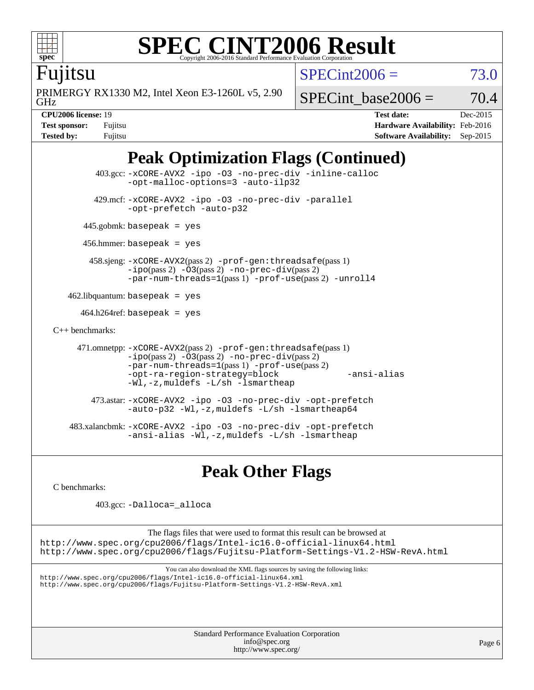

# **[SPEC CINT2006 Result](http://www.spec.org/auto/cpu2006/Docs/result-fields.html#SPECCINT2006Result)**

Fujitsu

PRIMERGY RX1330 M2, Intel Xeon E3-1260L v5, 2.90

 $SPECint2006 = 73.0$  $SPECint2006 = 73.0$ 

GHz

SPECint base2006 =  $70.4$ 

**[CPU2006 license:](http://www.spec.org/auto/cpu2006/Docs/result-fields.html#CPU2006license)** 19 **[Test date:](http://www.spec.org/auto/cpu2006/Docs/result-fields.html#Testdate)** Dec-2015 **[Test sponsor:](http://www.spec.org/auto/cpu2006/Docs/result-fields.html#Testsponsor)** Fujitsu **[Hardware Availability:](http://www.spec.org/auto/cpu2006/Docs/result-fields.html#HardwareAvailability)** Feb-2016 **[Tested by:](http://www.spec.org/auto/cpu2006/Docs/result-fields.html#Testedby)** Fujitsu **[Software Availability:](http://www.spec.org/auto/cpu2006/Docs/result-fields.html#SoftwareAvailability)** Sep-2015

# **[Peak Optimization Flags \(Continued\)](http://www.spec.org/auto/cpu2006/Docs/result-fields.html#PeakOptimizationFlags)**

```
 403.gcc: -xCORE-AVX2 -ipo -O3 -no-prec-div -inline-calloc
               -opt-malloc-options=3 -auto-ilp32
         429.mcf: -xCORE-AVX2 -ipo -O3 -no-prec-div -parallel
               -opt-prefetch -auto-p32
       445.gobmk: basepeak = yes
       456.hmmer: basepeak = yes
        458.sjeng: -xCORE-AVX2(pass 2) -prof-gen:threadsafe(pass 1)
               -ipo(pass 2) -O3(pass 2) -no-prec-div(pass 2)
               -par-num-threads=1(pass 1) -prof-use(pass 2) -unroll4
   462.libquantum: basepeak = yes
     464.h264ref: basepeak = yes
C++ benchmarks: 
     471.omnetpp: -xCORE-AVX2(pass 2) -prof-gen:threadsafe(pass 1)
               -no-prec-div(pass 2)-par-num-threads=1(pass 1) -prof-use(pass 2)
               -opt-ra-region-strategy=block -ansi-alias
               -Wl,-z,muldefs -L/sh -lsmartheap
        473.astar: -xCORE-AVX2 -ipo -O3 -no-prec-div -opt-prefetch
               -auto-p32 -Wl,-z,muldefs -L/sh -lsmartheap64
    483.xalancbmk: -xCORE-AVX2 -ipo -O3 -no-prec-div -opt-prefetch
               -ansi-alias -Wl,-z,muldefs -L/sh -lsmartheap
```
# **[Peak Other Flags](http://www.spec.org/auto/cpu2006/Docs/result-fields.html#PeakOtherFlags)**

[C benchmarks](http://www.spec.org/auto/cpu2006/Docs/result-fields.html#Cbenchmarks):

403.gcc: [-Dalloca=\\_alloca](http://www.spec.org/cpu2006/results/res2016q1/cpu2006-20160111-38679.flags.html#b403.gcc_peakEXTRA_CFLAGS_Dalloca_be3056838c12de2578596ca5467af7f3)

The flags files that were used to format this result can be browsed at <http://www.spec.org/cpu2006/flags/Intel-ic16.0-official-linux64.html> <http://www.spec.org/cpu2006/flags/Fujitsu-Platform-Settings-V1.2-HSW-RevA.html>

```
You can also download the XML flags sources by saving the following links:
http://www.spec.org/cpu2006/flags/Intel-ic16.0-official-linux64.xml
http://www.spec.org/cpu2006/flags/Fujitsu-Platform-Settings-V1.2-HSW-RevA.xml
```